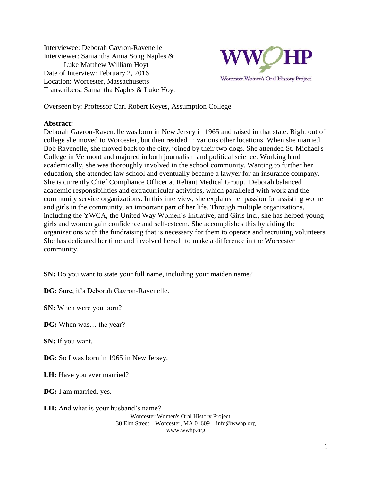Interviewee: Deborah Gavron-Ravenelle Interviewer: Samantha Anna Song Naples & Luke Matthew William Hoyt Date of Interview: February 2, 2016 Location: Worcester, Massachusetts Transcribers: Samantha Naples & Luke Hoyt



Overseen by: Professor Carl Robert Keyes, Assumption College

#### **Abstract:**

Deborah Gavron-Ravenelle was born in New Jersey in 1965 and raised in that state. Right out of college she moved to Worcester, but then resided in various other locations. When she married Bob Ravenelle, she moved back to the city, joined by their two dogs. She attended St. Michael's College in Vermont and majored in both journalism and political science. Working hard academically, she was thoroughly involved in the school community. Wanting to further her education, she attended law school and eventually became a lawyer for an insurance company. She is currently Chief Compliance Officer at Reliant Medical Group. Deborah balanced academic responsibilities and extracurricular activities, which paralleled with work and the community service organizations. In this interview, she explains her passion for assisting women and girls in the community, an important part of her life. Through multiple organizations, including the YWCA, the United Way Women's Initiative, and Girls Inc., she has helped young girls and women gain confidence and self-esteem. She accomplishes this by aiding the organizations with the fundraising that is necessary for them to operate and recruiting volunteers. She has dedicated her time and involved herself to make a difference in the Worcester community.

**SN:** Do you want to state your full name, including your maiden name?

**DG:** Sure, it's Deborah Gavron-Ravenelle.

**SN:** When were you born?

**DG:** When was… the year?

**SN:** If you want.

**DG:** So I was born in 1965 in New Jersey.

**LH:** Have you ever married?

**DG:** I am married, yes.

Worcester Women's Oral History Project 30 Elm Street – Worcester, MA 01609 – info@wwhp.org www.wwhp.org **LH:** And what is your husband's name?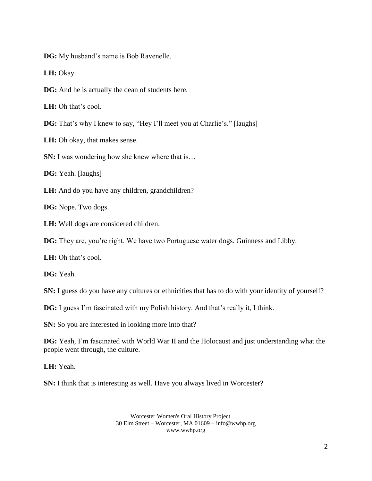**DG:** My husband's name is Bob Ravenelle.

**LH:** Okay.

**DG:** And he is actually the dean of students here.

**LH:** Oh that's cool.

**DG:** That's why I knew to say, "Hey I'll meet you at Charlie's." [laughs]

**LH:** Oh okay, that makes sense.

**SN:** I was wondering how she knew where that is...

**DG:** Yeah. [laughs]

LH: And do you have any children, grandchildren?

**DG:** Nope. Two dogs.

**LH:** Well dogs are considered children.

**DG:** They are, you're right. We have two Portuguese water dogs. Guinness and Libby.

**LH:** Oh that's cool.

**DG:** Yeah.

**SN:** I guess do you have any cultures or ethnicities that has to do with your identity of yourself?

**DG:** I guess I'm fascinated with my Polish history. And that's really it, I think.

**SN:** So you are interested in looking more into that?

**DG:** Yeah, I'm fascinated with World War II and the Holocaust and just understanding what the people went through, the culture.

**LH:** Yeah.

**SN:** I think that is interesting as well. Have you always lived in Worcester?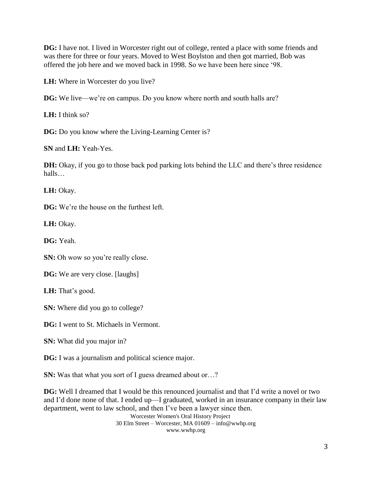**DG:** I have not. I lived in Worcester right out of college, rented a place with some friends and was there for three or four years. Moved to West Boylston and then got married, Bob was offered the job here and we moved back in 1998. So we have been here since '98.

**LH:** Where in Worcester do you live?

**DG:** We live—we're on campus. Do you know where north and south halls are?

**LH:** I think so?

**DG:** Do you know where the Living-Learning Center is?

**SN** and **LH:** Yeah-Yes.

**DH:** Okay, if you go to those back pod parking lots behind the LLC and there's three residence halls…

**LH:** Okay.

**DG:** We're the house on the furthest left.

**LH:** Okay.

**DG:** Yeah.

**SN:** Oh wow so you're really close.

**DG:** We are very close. [laughs]

**LH:** That's good.

**SN:** Where did you go to college?

**DG:** I went to St. Michaels in Vermont.

**SN:** What did you major in?

**DG:** I was a journalism and political science major.

**SN:** Was that what you sort of I guess dreamed about or...?

**DG:** Well I dreamed that I would be this renounced journalist and that I'd write a novel or two and I'd done none of that. I ended up—I graduated, worked in an insurance company in their law department, went to law school, and then I've been a lawyer since then.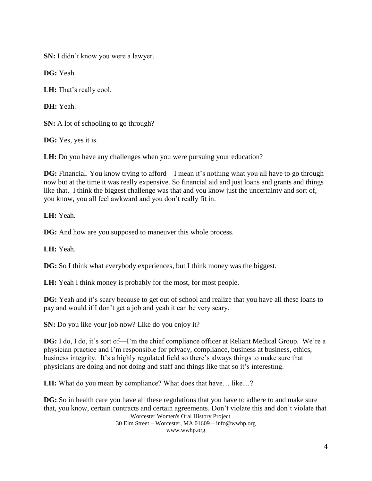**SN:** I didn't know you were a lawyer.

**DG:** Yeah.

**LH:** That's really cool.

**DH:** Yeah.

**SN:** A lot of schooling to go through?

**DG:** Yes, yes it is.

**LH:** Do you have any challenges when you were pursuing your education?

**DG:** Financial. You know trying to afford—I mean it's nothing what you all have to go through now but at the time it was really expensive. So financial aid and just loans and grants and things like that. I think the biggest challenge was that and you know just the uncertainty and sort of, you know, you all feel awkward and you don't really fit in.

**LH:** Yeah.

**DG:** And how are you supposed to maneuver this whole process.

**LH:** Yeah.

**DG:** So I think what everybody experiences, but I think money was the biggest.

**LH:** Yeah I think money is probably for the most, for most people.

**DG:** Yeah and it's scary because to get out of school and realize that you have all these loans to pay and would if I don't get a job and yeah it can be very scary.

**SN:** Do you like your job now? Like do you enjoy it?

**DG:** I do, I do, it's sort of—I'm the chief compliance officer at Reliant Medical Group. We're a physician practice and I'm responsible for privacy, compliance, business at business, ethics, business integrity. It's a highly regulated field so there's always things to make sure that physicians are doing and not doing and staff and things like that so it's interesting.

**LH:** What do you mean by compliance? What does that have... like...?

Worcester Women's Oral History Project 30 Elm Street – Worcester, MA 01609 – info@wwhp.org **DG:** So in health care you have all these regulations that you have to adhere to and make sure that, you know, certain contracts and certain agreements. Don't violate this and don't violate that

www.wwhp.org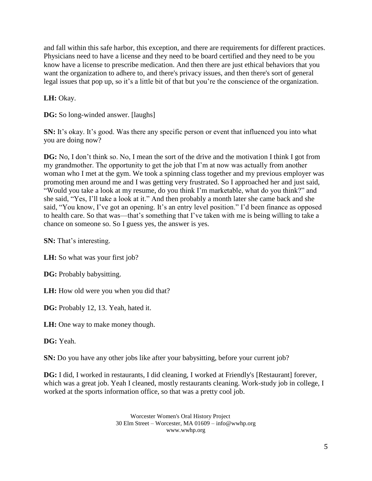and fall within this safe harbor, this exception, and there are requirements for different practices. Physicians need to have a license and they need to be board certified and they need to be you know have a license to prescribe medication. And then there are just ethical behaviors that you want the organization to adhere to, and there's privacy issues, and then there's sort of general legal issues that pop up, so it's a little bit of that but you're the conscience of the organization.

**LH:** Okay.

**DG:** So long-winded answer. [laughs]

**SN:** It's okay. It's good. Was there any specific person or event that influenced you into what you are doing now?

**DG:** No, I don't think so. No, I mean the sort of the drive and the motivation I think I got from my grandmother. The opportunity to get the job that I'm at now was actually from another woman who I met at the gym. We took a spinning class together and my previous employer was promoting men around me and I was getting very frustrated. So I approached her and just said, "Would you take a look at my resume, do you think I'm marketable, what do you think?" and she said, "Yes, I'll take a look at it." And then probably a month later she came back and she said, "You know, I've got an opening. It's an entry level position." I'd been finance as opposed to health care. So that was—that's something that I've taken with me is being willing to take a chance on someone so. So I guess yes, the answer is yes.

**SN:** That's interesting.

LH: So what was your first job?

**DG:** Probably babysitting.

**LH:** How old were you when you did that?

**DG:** Probably 12, 13. Yeah, hated it.

**LH:** One way to make money though.

**DG:** Yeah.

**SN:** Do you have any other jobs like after your babysitting, before your current job?

**DG:** I did, I worked in restaurants, I did cleaning, I worked at Friendly's [Restaurant] forever, which was a great job. Yeah I cleaned, mostly restaurants cleaning. Work-study job in college, I worked at the sports information office, so that was a pretty cool job.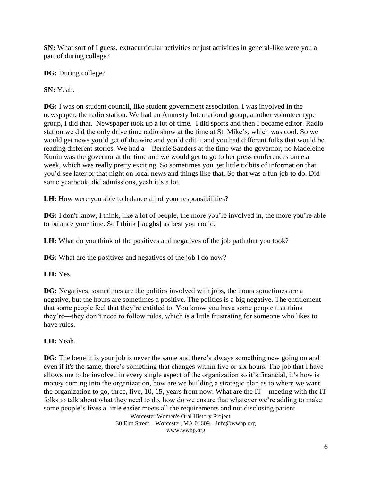**SN:** What sort of I guess, extracurricular activities or just activities in general-like were you a part of during college?

**DG:** During college?

**SN:** Yeah.

**DG:** I was on student council, like student government association. I was involved in the newspaper, the radio station. We had an Amnesty International group, another volunteer type group, I did that. Newspaper took up a lot of time. I did sports and then I became editor. Radio station we did the only drive time radio show at the time at St. Mike's, which was cool. So we would get news you'd get of the wire and you'd edit it and you had different folks that would be reading different stories. We had a—Bernie Sanders at the time was the governor, no Madeleine Kunin was the governor at the time and we would get to go to her press conferences once a week, which was really pretty exciting. So sometimes you get little tidbits of information that you'd see later or that night on local news and things like that. So that was a fun job to do. Did some yearbook, did admissions, yeah it's a lot.

**LH:** How were you able to balance all of your responsibilities?

**DG:** I don't know, I think, like a lot of people, the more you're involved in, the more you're able to balance your time. So I think [laughs] as best you could.

**LH:** What do you think of the positives and negatives of the job path that you took?

**DG:** What are the positives and negatives of the job I do now?

**LH:** Yes.

DG: Negatives, sometimes are the politics involved with jobs, the hours sometimes are a negative, but the hours are sometimes a positive. The politics is a big negative. The entitlement that some people feel that they're entitled to. You know you have some people that think they're—they don't need to follow rules, which is a little frustrating for someone who likes to have rules.

# **LH:** Yeah.

**DG:** The benefit is your job is never the same and there's always something new going on and even if it's the same, there's something that changes within five or six hours. The job that I have allows me to be involved in every single aspect of the organization so it's financial, it's how is money coming into the organization, how are we building a strategic plan as to where we want the organization to go, three, five, 10, 15, years from now. What are the IT—meeting with the IT folks to talk about what they need to do, how do we ensure that whatever we're adding to make some people's lives a little easier meets all the requirements and not disclosing patient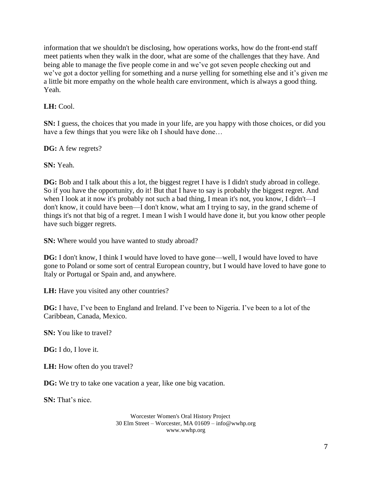information that we shouldn't be disclosing, how operations works, how do the front-end staff meet patients when they walk in the door, what are some of the challenges that they have. And being able to manage the five people come in and we've got seven people checking out and we've got a doctor yelling for something and a nurse yelling for something else and it's given me a little bit more empathy on the whole health care environment, which is always a good thing. Yeah.

**LH:** Cool.

**SN:** I guess, the choices that you made in your life, are you happy with those choices, or did you have a few things that you were like oh I should have done...

**DG:** A few regrets?

**SN:** Yeah.

**DG:** Bob and I talk about this a lot, the biggest regret I have is I didn't study abroad in college. So if you have the opportunity, do it! But that I have to say is probably the biggest regret. And when I look at it now it's probably not such a bad thing, I mean it's not, you know, I didn't—I don't know, it could have been—I don't know, what am I trying to say, in the grand scheme of things it's not that big of a regret. I mean I wish I would have done it, but you know other people have such bigger regrets.

**SN:** Where would you have wanted to study abroad?

**DG:** I don't know, I think I would have loved to have gone—well, I would have loved to have gone to Poland or some sort of central European country, but I would have loved to have gone to Italy or Portugal or Spain and, and anywhere.

**LH:** Have you visited any other countries?

**DG:** I have, I've been to England and Ireland. I've been to Nigeria. I've been to a lot of the Caribbean, Canada, Mexico.

**SN:** You like to travel?

**DG:** I do, I love it.

**LH:** How often do you travel?

**DG:** We try to take one vacation a year, like one big vacation.

**SN:** That's nice.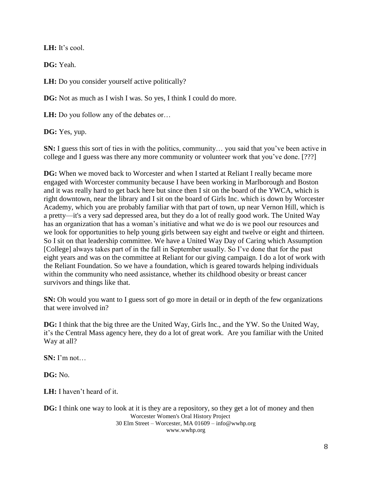**LH:** It's cool.

**DG:** Yeah.

**LH:** Do you consider yourself active politically?

**DG:** Not as much as I wish I was. So yes, I think I could do more.

**LH:** Do you follow any of the debates or...

**DG:** Yes, yup.

**SN:** I guess this sort of ties in with the politics, community... you said that you've been active in college and I guess was there any more community or volunteer work that you've done. [???]

**DG:** When we moved back to Worcester and when I started at Reliant I really became more engaged with Worcester community because I have been working in Marlborough and Boston and it was really hard to get back here but since then I sit on the board of the YWCA, which is right downtown, near the library and I sit on the board of Girls Inc. which is down by Worcester Academy, which you are probably familiar with that part of town, up near Vernon Hill, which is a pretty—it's a very sad depressed area, but they do a lot of really good work. The United Way has an organization that has a woman's initiative and what we do is we pool our resources and we look for opportunities to help young girls between say eight and twelve or eight and thirteen. So I sit on that leadership committee. We have a United Way Day of Caring which Assumption [College] always takes part of in the fall in September usually. So I've done that for the past eight years and was on the committee at Reliant for our giving campaign. I do a lot of work with the Reliant Foundation. So we have a foundation, which is geared towards helping individuals within the community who need assistance, whether its childhood obesity or breast cancer survivors and things like that.

**SN:** Oh would you want to I guess sort of go more in detail or in depth of the few organizations that were involved in?

**DG:** I think that the big three are the United Way, Girls Inc., and the YW. So the United Way, it's the Central Mass agency here, they do a lot of great work. Are you familiar with the United Way at all?

**SN:** I'm not…

**DG:** No.

**LH:** I haven't heard of it.

Worcester Women's Oral History Project 30 Elm Street – Worcester, MA 01609 – info@wwhp.org www.wwhp.org **DG:** I think one way to look at it is they are a repository, so they get a lot of money and then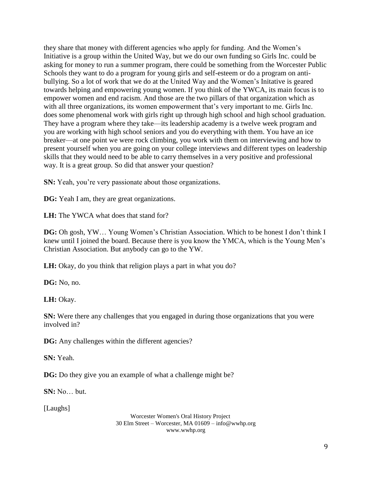they share that money with different agencies who apply for funding. And the Women's Initiative is a group within the United Way, but we do our own funding so Girls Inc. could be asking for money to run a summer program, there could be something from the Worcester Public Schools they want to do a program for young girls and self-esteem or do a program on antibullying. So a lot of work that we do at the United Way and the Women's Initative is geared towards helping and empowering young women. If you think of the YWCA, its main focus is to empower women and end racism. And those are the two pillars of that organization which as with all three organizations, its women empowerment that's very important to me. Girls Inc. does some phenomenal work with girls right up through high school and high school graduation. They have a program where they take—its leadership academy is a twelve week program and you are working with high school seniors and you do everything with them. You have an ice breaker—at one point we were rock climbing, you work with them on interviewing and how to present yourself when you are going on your college interviews and different types on leadership skills that they would need to be able to carry themselves in a very positive and professional way. It is a great group. So did that answer your question?

**SN:** Yeah, you're very passionate about those organizations.

**DG:** Yeah I am, they are great organizations.

**LH:** The YWCA what does that stand for?

**DG:** Oh gosh, YW… Young Women's Christian Association. Which to be honest I don't think I knew until I joined the board. Because there is you know the YMCA, which is the Young Men's Christian Association. But anybody can go to the YW.

**LH:** Okay, do you think that religion plays a part in what you do?

**DG:** No, no.

**LH:** Okay.

**SN:** Were there any challenges that you engaged in during those organizations that you were involved in?

**DG:** Any challenges within the different agencies?

**SN:** Yeah.

**DG:** Do they give you an example of what a challenge might be?

**SN:** No… but.

[Laughs]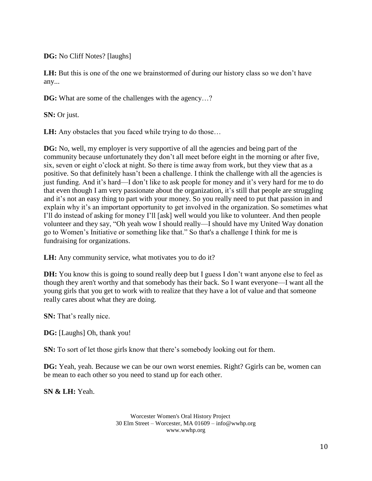**DG:** No Cliff Notes? [laughs]

**LH:** But this is one of the one we brainstormed of during our history class so we don't have any...

**DG:** What are some of the challenges with the agency...?

**SN:** Or just.

**LH:** Any obstacles that you faced while trying to do those...

**DG:** No, well, my employer is very supportive of all the agencies and being part of the community because unfortunately they don't all meet before eight in the morning or after five, six, seven or eight o'clock at night. So there is time away from work, but they view that as a positive. So that definitely hasn't been a challenge. I think the challenge with all the agencies is just funding. And it's hard—I don't like to ask people for money and it's very hard for me to do that even though I am very passionate about the organization, it's still that people are struggling and it's not an easy thing to part with your money. So you really need to put that passion in and explain why it's an important opportunity to get involved in the organization. So sometimes what I'll do instead of asking for money I'll [ask] well would you like to volunteer. And then people volunteer and they say, "Oh yeah wow I should really—I should have my United Way donation go to Women's Initiative or something like that." So that's a challenge I think for me is fundraising for organizations.

**LH:** Any community service, what motivates you to do it?

**DH:** You know this is going to sound really deep but I guess I don't want anyone else to feel as though they aren't worthy and that somebody has their back. So I want everyone—I want all the young girls that you get to work with to realize that they have a lot of value and that someone really cares about what they are doing.

**SN:** That's really nice.

**DG:** [Laughs] Oh, thank you!

**SN:** To sort of let those girls know that there's somebody looking out for them.

**DG:** Yeah, yeah. Because we can be our own worst enemies. Right? Ggirls can be, women can be mean to each other so you need to stand up for each other.

**SN & LH:** Yeah.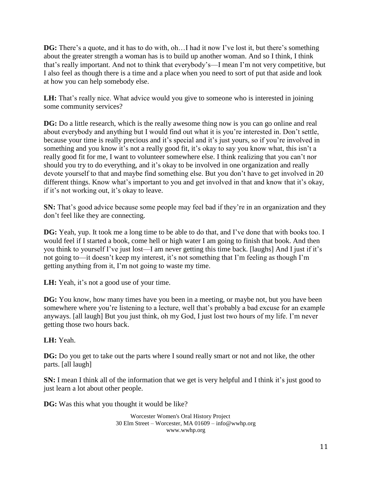**DG:** There's a quote, and it has to do with, oh... I had it now I've lost it, but there's something about the greater strength a woman has is to build up another woman. And so I think, I think that's really important. And not to think that everybody's—I mean I'm not very competitive, but I also feel as though there is a time and a place when you need to sort of put that aside and look at how you can help somebody else.

**LH:** That's really nice. What advice would you give to someone who is interested in joining some community services?

**DG:** Do a little research, which is the really awesome thing now is you can go online and real about everybody and anything but I would find out what it is you're interested in. Don't settle, because your time is really precious and it's special and it's just yours, so if you're involved in something and you know it's not a really good fit, it's okay to say you know what, this isn't a really good fit for me, I want to volunteer somewhere else. I think realizing that you can't nor should you try to do everything, and it's okay to be involved in one organization and really devote yourself to that and maybe find something else. But you don't have to get involved in 20 different things. Know what's important to you and get involved in that and know that it's okay, if it's not working out, it's okay to leave.

**SN:** That's good advice because some people may feel bad if they're in an organization and they don't feel like they are connecting.

**DG:** Yeah, yup. It took me a long time to be able to do that, and I've done that with books too. I would feel if I started a book, come hell or high water I am going to finish that book. And then you think to yourself I've just lost—I am never getting this time back. [laughs] And I just if it's not going to—it doesn't keep my interest, it's not something that I'm feeling as though I'm getting anything from it, I'm not going to waste my time.

LH: Yeah, it's not a good use of your time.

**DG:** You know, how many times have you been in a meeting, or maybe not, but you have been somewhere where you're listening to a lecture, well that's probably a bad excuse for an example anyways. [all laugh] But you just think, oh my God, I just lost two hours of my life. I'm never getting those two hours back.

# **LH:** Yeah.

**DG:** Do you get to take out the parts where I sound really smart or not and not like, the other parts. [all laugh]

**SN:** I mean I think all of the information that we get is very helpful and I think it's just good to just learn a lot about other people.

**DG:** Was this what you thought it would be like?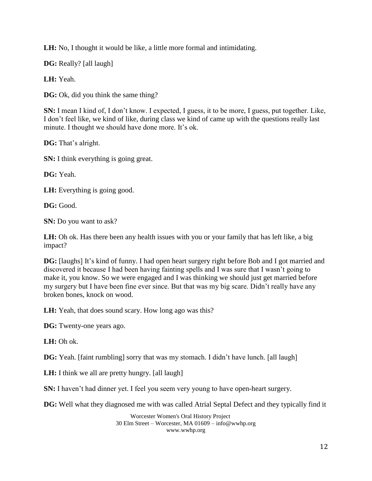**LH:** No, I thought it would be like, a little more formal and intimidating.

**DG:** Really? [all laugh]

**LH:** Yeah.

**DG:** Ok, did you think the same thing?

**SN:** I mean I kind of, I don't know. I expected, I guess, it to be more, I guess, put together. Like, I don't feel like, we kind of like, during class we kind of came up with the questions really last minute. I thought we should have done more. It's ok.

**DG:** That's alright.

**SN:** I think everything is going great.

**DG:** Yeah.

LH: Everything is going good.

**DG:** Good.

**SN:** Do you want to ask?

**LH:** Oh ok. Has there been any health issues with you or your family that has left like, a big impact?

**DG:** [laughs] It's kind of funny. I had open heart surgery right before Bob and I got married and discovered it because I had been having fainting spells and I was sure that I wasn't going to make it, you know. So we were engaged and I was thinking we should just get married before my surgery but I have been fine ever since. But that was my big scare. Didn't really have any broken bones, knock on wood.

LH: Yeah, that does sound scary. How long ago was this?

**DG:** Twenty-one years ago.

**LH:** Oh ok.

**DG:** Yeah. [faint rumbling] sorry that was my stomach. I didn't have lunch. [all laugh]

**LH:** I think we all are pretty hungry. [all laugh]

**SN:** I haven't had dinner yet. I feel you seem very young to have open-heart surgery.

**DG:** Well what they diagnosed me with was called Atrial Septal Defect and they typically find it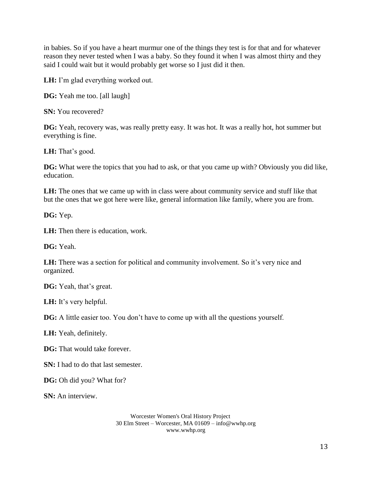in babies. So if you have a heart murmur one of the things they test is for that and for whatever reason they never tested when I was a baby. So they found it when I was almost thirty and they said I could wait but it would probably get worse so I just did it then.

**LH:** I'm glad everything worked out.

**DG:** Yeah me too. [all laugh]

**SN:** You recovered?

**DG:** Yeah, recovery was, was really pretty easy. It was hot. It was a really hot, hot summer but everything is fine.

**LH:** That's good.

**DG:** What were the topics that you had to ask, or that you came up with? Obviously you did like, education.

**LH:** The ones that we came up with in class were about community service and stuff like that but the ones that we got here were like, general information like family, where you are from.

**DG:** Yep.

**LH:** Then there is education, work.

**DG:** Yeah.

**LH:** There was a section for political and community involvement. So it's very nice and organized.

**DG:** Yeah, that's great.

**LH:** It's very helpful.

**DG:** A little easier too. You don't have to come up with all the questions yourself.

**LH:** Yeah, definitely.

**DG:** That would take forever.

**SN:** I had to do that last semester.

**DG:** Oh did you? What for?

**SN:** An interview.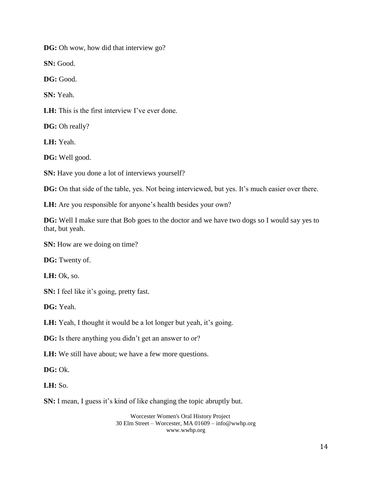**DG:** Oh wow, how did that interview go?

**SN:** Good.

**DG:** Good.

**SN:** Yeah.

**LH:** This is the first interview I've ever done.

**DG:** Oh really?

**LH:** Yeah.

**DG:** Well good.

**SN:** Have you done a lot of interviews yourself?

**DG:** On that side of the table, yes. Not being interviewed, but yes. It's much easier over there.

LH: Are you responsible for anyone's health besides your own?

**DG:** Well I make sure that Bob goes to the doctor and we have two dogs so I would say yes to that, but yeah.

**SN:** How are we doing on time?

**DG:** Twenty of.

**LH:** Ok, so.

**SN:** I feel like it's going, pretty fast.

**DG:** Yeah.

LH: Yeah, I thought it would be a lot longer but yeah, it's going.

**DG:** Is there anything you didn't get an answer to or?

**LH:** We still have about; we have a few more questions.

**DG:** Ok.

**LH:** So.

**SN:** I mean, I guess it's kind of like changing the topic abruptly but.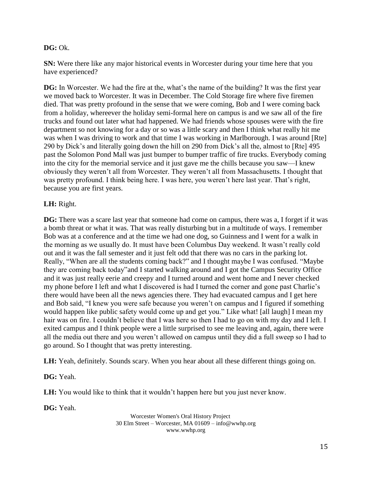### **DG:** Ok.

**SN:** Were there like any major historical events in Worcester during your time here that you have experienced?

**DG:** In Worcester. We had the fire at the, what's the name of the building? It was the first year we moved back to Worcester. It was in December. The Cold Storage fire where five firemen died. That was pretty profound in the sense that we were coming, Bob and I were coming back from a holiday, whereever the holiday semi-formal here on campus is and we saw all of the fire trucks and found out later what had happened. We had friends whose spouses were with the fire department so not knowing for a day or so was a little scary and then I think what really hit me was when I was driving to work and that time I was working in Marlborough. I was around [Rte] 290 by Dick's and literally going down the hill on 290 from Dick's all the, almost to [Rte] 495 past the Solomon Pond Mall was just bumper to bumper traffic of fire trucks. Everybody coming into the city for the memorial service and it just gave me the chills because you saw—I knew obviously they weren't all from Worcester. They weren't all from Massachusetts. I thought that was pretty profound. I think being here. I was here, you weren't here last year. That's right, because you are first years.

### **LH:** Right.

**DG:** There was a scare last year that someone had come on campus, there was a, I forget if it was a bomb threat or what it was. That was really disturbing but in a multitude of ways. I remember Bob was at a conference and at the time we had one dog, so Guinness and I went for a walk in the morning as we usually do. It must have been Columbus Day weekend. It wasn't really cold out and it was the fall semester and it just felt odd that there was no cars in the parking lot. Really, "When are all the students coming back?" and I thought maybe I was confused. "Maybe they are coming back today"and I started walking around and I got the Campus Security Office and it was just really eerie and creepy and I turned around and went home and I never checked my phone before I left and what I discovered is had I turned the corner and gone past Charlie's there would have been all the news agencies there. They had evacuated campus and I get here and Bob said, "I knew you were safe because you weren't on campus and I figured if something would happen like public safety would come up and get you." Like what! [all laugh] I mean my hair was on fire. I couldn't believe that I was here so then I had to go on with my day and I left. I exited campus and I think people were a little surprised to see me leaving and, again, there were all the media out there and you weren't allowed on campus until they did a full sweep so I had to go around. So I thought that was pretty interesting.

**LH:** Yeah, definitely. Sounds scary. When you hear about all these different things going on.

**DG:** Yeah.

**LH:** You would like to think that it wouldn't happen here but you just never know.

**DG:** Yeah.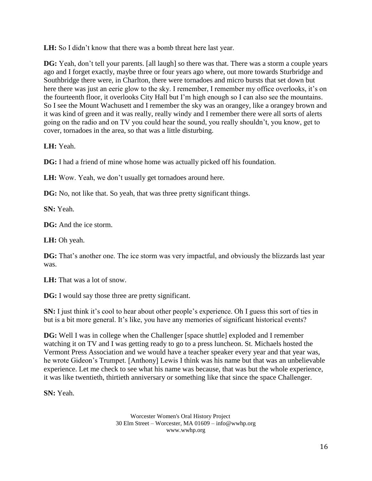**LH:** So I didn't know that there was a bomb threat here last year.

**DG:** Yeah, don't tell your parents. [all laugh] so there was that. There was a storm a couple years ago and I forget exactly, maybe three or four years ago where, out more towards Sturbridge and Southbridge there were, in Charlton, there were tornadoes and micro bursts that set down but here there was just an eerie glow to the sky. I remember, I remember my office overlooks, it's on the fourteenth floor, it overlooks City Hall but I'm high enough so I can also see the mountains. So I see the Mount Wachusett and I remember the sky was an orangey, like a orangey brown and it was kind of green and it was really, really windy and I remember there were all sorts of alerts going on the radio and on TV you could hear the sound, you really shouldn't, you know, get to cover, tornadoes in the area, so that was a little disturbing.

## **LH:** Yeah.

**DG:** I had a friend of mine whose home was actually picked off his foundation.

**LH:** Wow. Yeah, we don't usually get tornadoes around here.

**DG:** No, not like that. So yeah, that was three pretty significant things.

**SN:** Yeah.

**DG:** And the ice storm.

**LH:** Oh yeah.

**DG:** That's another one. The ice storm was very impactful, and obviously the blizzards last year was.

**LH:** That was a lot of snow.

**DG:** I would say those three are pretty significant.

**SN:** I just think it's cool to hear about other people's experience. Oh I guess this sort of ties in but is a bit more general. It's like, you have any memories of significant historical events?

**DG:** Well I was in college when the Challenger [space shuttle] exploded and I remember watching it on TV and I was getting ready to go to a press luncheon. St. Michaels hosted the Vermont Press Association and we would have a teacher speaker every year and that year was, he wrote Gideon's Trumpet. [Anthony] Lewis I think was his name but that was an unbelievable experience. Let me check to see what his name was because, that was but the whole experience, it was like twentieth, thirtieth anniversary or something like that since the space Challenger.

**SN:** Yeah.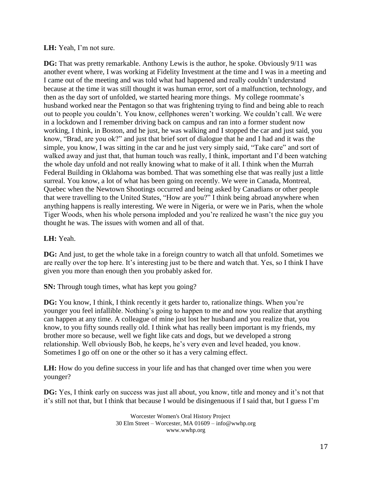### **LH:** Yeah, I'm not sure.

**DG:** That was pretty remarkable. Anthony Lewis is the author, he spoke. Obviously 9/11 was another event where, I was working at Fidelity Investment at the time and I was in a meeting and I came out of the meeting and was told what had happened and really couldn't understand because at the time it was still thought it was human error, sort of a malfunction, technology, and then as the day sort of unfolded, we started hearing more things. My college roommate's husband worked near the Pentagon so that was frightening trying to find and being able to reach out to people you couldn't. You know, cellphones weren't working. We couldn't call. We were in a lockdown and I remember driving back on campus and ran into a former student now working, I think, in Boston, and he just, he was walking and I stopped the car and just said, you know, "Brad, are you ok?" and just that brief sort of dialogue that he and I had and it was the simple, you know, I was sitting in the car and he just very simply said, "Take care" and sort of walked away and just that, that human touch was really, I think, important and I'd been watching the whole day unfold and not really knowing what to make of it all. I think when the Murrah Federal Building in Oklahoma was bombed. That was something else that was really just a little surreal. You know, a lot of what has been going on recently. We were in Canada, Montreal, Quebec when the Newtown Shootings occurred and being asked by Canadians or other people that were travelling to the United States, "How are you?" I think being abroad anywhere when anything happens is really interesting. We were in Nigeria, or were we in Paris, when the whole Tiger Woods, when his whole persona imploded and you're realized he wasn't the nice guy you thought he was. The issues with women and all of that.

## **LH:** Yeah.

**DG:** And just, to get the whole take in a foreign country to watch all that unfold. Sometimes we are really over the top here. It's interesting just to be there and watch that. Yes, so I think I have given you more than enough then you probably asked for.

**SN:** Through tough times, what has kept you going?

**DG:** You know, I think, I think recently it gets harder to, rationalize things. When you're younger you feel infallible. Nothing's going to happen to me and now you realize that anything can happen at any time. A colleague of mine just lost her husband and you realize that, you know, to you fifty sounds really old. I think what has really been important is my friends, my brother more so because, well we fight like cats and dogs, but we developed a strong relationship. Well obviously Bob, he keeps, he's very even and level headed, you know. Sometimes I go off on one or the other so it has a very calming effect.

**LH:** How do you define success in your life and has that changed over time when you were younger?

**DG:** Yes, I think early on success was just all about, you know, title and money and it's not that it's still not that, but I think that because I would be disingenuous if I said that, but I guess I'm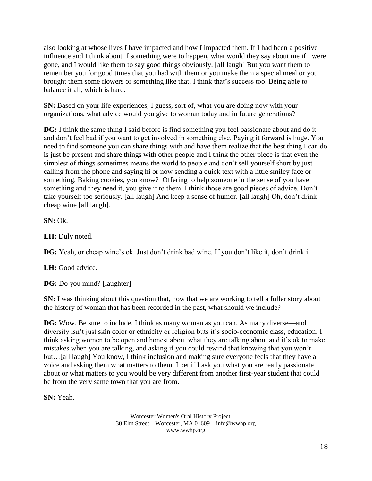also looking at whose lives I have impacted and how I impacted them. If I had been a positive influence and I think about if something were to happen, what would they say about me if I were gone, and I would like them to say good things obviously. [all laugh] But you want them to remember you for good times that you had with them or you make them a special meal or you brought them some flowers or something like that. I think that's success too. Being able to balance it all, which is hard.

**SN:** Based on your life experiences, I guess, sort of, what you are doing now with your organizations, what advice would you give to woman today and in future generations?

**DG:** I think the same thing I said before is find something you feel passionate about and do it and don't feel bad if you want to get involved in something else. Paying it forward is huge. You need to find someone you can share things with and have them realize that the best thing I can do is just be present and share things with other people and I think the other piece is that even the simplest of things sometimes means the world to people and don't sell yourself short by just calling from the phone and saying hi or now sending a quick text with a little smiley face or something. Baking cookies, you know? Offering to help someone in the sense of you have something and they need it, you give it to them. I think those are good pieces of advice. Don't take yourself too seriously. [all laugh] And keep a sense of humor. [all laugh] Oh, don't drink cheap wine [all laugh].

**SN:** Ok.

**LH:** Duly noted.

**DG:** Yeah, or cheap wine's ok. Just don't drink bad wine. If you don't like it, don't drink it.

**LH:** Good advice.

**DG:** Do you mind? [laughter]

**SN:** I was thinking about this question that, now that we are working to tell a fuller story about the history of woman that has been recorded in the past, what should we include?

**DG:** Wow. Be sure to include, I think as many woman as you can. As many diverse—and diversity isn't just skin color or ethnicity or religion buts it's socio-economic class, education. I think asking women to be open and honest about what they are talking about and it's ok to make mistakes when you are talking, and asking if you could rewind that knowing that you won't but…[all laugh] You know, I think inclusion and making sure everyone feels that they have a voice and asking them what matters to them. I bet if I ask you what you are really passionate about or what matters to you would be very different from another first-year student that could be from the very same town that you are from.

**SN:** Yeah.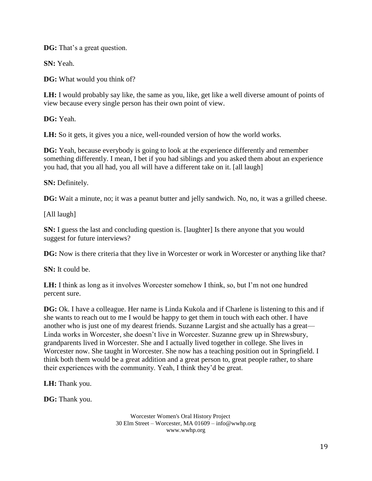**DG:** That's a great question.

**SN:** Yeah.

**DG:** What would you think of?

**LH:** I would probably say like, the same as you, like, get like a well diverse amount of points of view because every single person has their own point of view.

**DG:** Yeah.

**LH:** So it gets, it gives you a nice, well-rounded version of how the world works.

**DG:** Yeah, because everybody is going to look at the experience differently and remember something differently. I mean, I bet if you had siblings and you asked them about an experience you had, that you all had, you all will have a different take on it. [all laugh]

**SN:** Definitely.

**DG:** Wait a minute, no; it was a peanut butter and jelly sandwich. No, no, it was a grilled cheese.

[All laugh]

**SN:** I guess the last and concluding question is. [laughter] Is there anyone that you would suggest for future interviews?

**DG:** Now is there criteria that they live in Worcester or work in Worcester or anything like that?

**SN:** It could be.

**LH:** I think as long as it involves Worcester somehow I think, so, but I'm not one hundred percent sure.

**DG:** Ok. I have a colleague. Her name is Linda Kukola and if Charlene is listening to this and if she wants to reach out to me I would be happy to get them in touch with each other. I have another who is just one of my dearest friends. Suzanne Largist and she actually has a great— Linda works in Worcester, she doesn't live in Worcester. Suzanne grew up in Shrewsbury, grandparents lived in Worcester. She and I actually lived together in college. She lives in Worcester now. She taught in Worcester. She now has a teaching position out in Springfield. I think both them would be a great addition and a great person to, great people rather, to share their experiences with the community. Yeah, I think they'd be great.

**LH:** Thank you.

**DG:** Thank you.